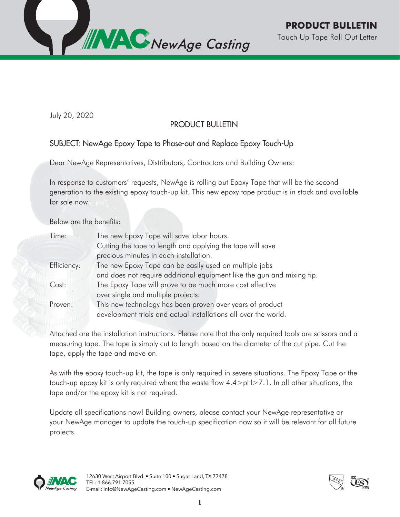

July 20, 2020

## PRODUCT BULLETIN

## SUBJECT: NewAge Epoxy Tape to Phase-out and Replace Epoxy Touch-Up

Dear NewAge Representatives, Distributors, Contractors and Building Owners:

In response to customers' requests, NewAge is rolling out Epoxy Tape that will be the second generation to the existing epoxy touch-up kit. This new epoxy tape product is in stock and available for sale now.

Below are the benefits:

| Time:       | The new Epoxy Tape will save labor hours.<br>Cutting the tape to length and applying the tape will save |  |
|-------------|---------------------------------------------------------------------------------------------------------|--|
|             |                                                                                                         |  |
|             | precious minutes in each installation.                                                                  |  |
| Efficiency: | The new Epoxy Tape can be easily used on multiple jobs                                                  |  |
|             | and does not require additional equipment like the gun and mixing tip.                                  |  |
| Cost:       | The Epoxy Tape will prove to be much more cost effective                                                |  |
|             | over single and multiple projects.                                                                      |  |
| Proven:     | This new technology has been proven over years of product                                               |  |
|             | development trials and actual installations all over the world.                                         |  |
|             |                                                                                                         |  |

Attached are the installation instructions. Please note that the only required tools are scissors and a measuring tape. The tape is simply cut to length based on the diameter of the cut pipe. Cut the tape, apply the tape and move on.

As with the epoxy touch-up kit, the tape is only required in severe situations. The Epoxy Tape or the touch-up epoxy kit is only required where the waste flow 4.4>pH>7.1. In all other situations, the tape and/or the epoxy kit is not required.

Update all specifications now! Building owners, please contact your NewAge representative or your NewAge manager to update the touch-up specification now so it will be relevant for all future projects.